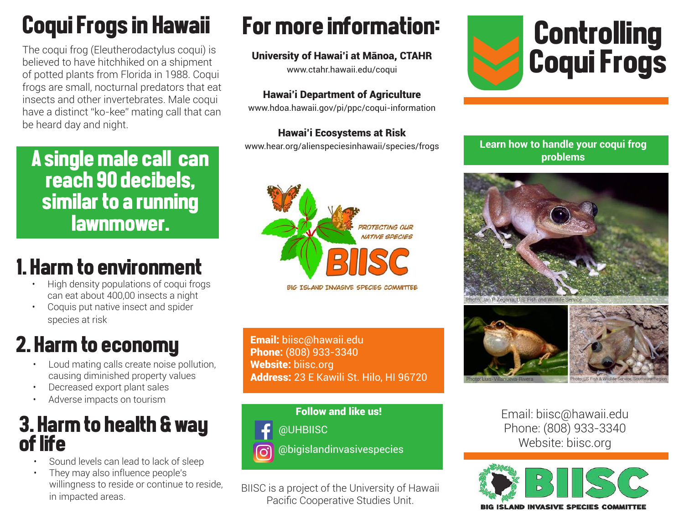# Coqui Frogs in Hawaii

The coqui frog (Eleutherodactylus coqui) is believed to have hitchhiked on a shipment of potted plants from Florida in 1988. Coqui frogs are small, nocturnal predators that eat insects and other invertebrates. Male coqui have a distinct "ko-kee" mating call that can be heard day and night.

A single male call can reach 90 decibels, similar to a running lawnmower.

## 1. Harm to environment

- High density populations of coqui frogs can eat about 400,00 insects a night
- Coquis put native insect and spider species at risk

# 2. Harm to economy

- Loud mating calls create noise pollution, causing diminished property values
- Decreased export plant sales
- Adverse impacts on tourism

### 3. Harm to health & way of life

- Sound levels can lead to lack of sleep
- They may also influence people's willingness to reside or continue to reside, in impacted areas.

# For more information:

#### University of Hawai'i at Mānoa, CTAHR

www.ctahr.hawaii.edu/coqui

#### Hawai'i Department of Agriculture

www.hdoa.hawaii.gov/pi/ppc/coqui-information

#### Hawai'i Ecosystems at Risk

www.hear.org/alienspeciesinhawaii/species/frogs



Email: biisc@hawaii.edu Phone: (808) 933-3340 Website: biisc.org Address: 23 E Kawili St. Hilo, HI 96720



BIISC is a project of the University of Hawaii Pacific Cooperative Studies Unit.



#### **Learn how to handle your coqui frog problems**





Email: biisc@hawaii.edu Phone: (808) 933-3340 Website: biisc.org